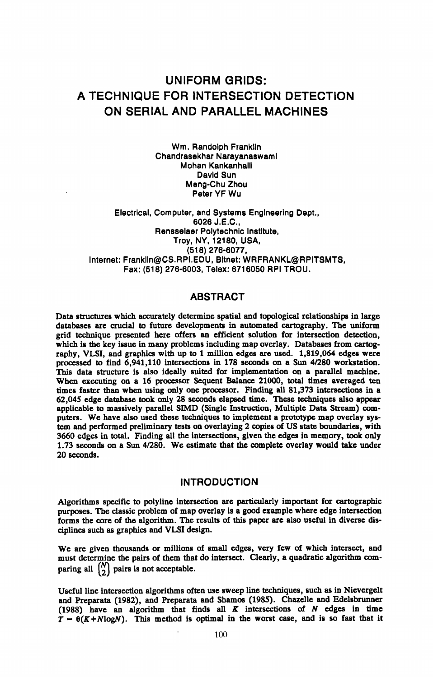# UNIFORM GRIDS: A TECHNIQUE FOR INTERSECTION DETECTION ON SERIAL AND PARALLEL MACHINES

Wm. Randolph Franklin Chandrasekhar Narayanaswaml Mohan Kankanhalll David Sun Meng-Chu Zhou Peter YF Wu

Electrical, Computer, and Systems Engineering Dept., 6026J.E.C., Rensselaer Polytechnic Institute, Troy, NY, 12180, USA, (518) 276-6077, Internet: Franklin@CS.RPI.EDU, Bltnet: WRFRANKL@RPITSMTS, Fax: (518) 276-6003, Telex: 6716050 RPI TROU.

## ABSTRACT

Data structures which accurately determine spatial and topological relationships in large databases are crucial to future developments in automated cartography. The uniform grid technique presented here offers an efficient solution for intersection detection, which is the key issue in many problems including map overlay. Databases from cartography, VLSI, and graphics with up to 1 million edges are used. 1,819,064 edges were processed to find  $\overline{6,941,110}$  intersections in 178 seconds on a Sun 4/280 workstation. This data structure is also ideally suited for implementation on a parallel machine. When executing on <sup>a</sup>16 processor Sequent Balance 21000, total times averaged ten times faster than when using only one processor. Finding all 81,373 intersections in <sup>a</sup> 62,045 edge database took only 28 seconds elapsed time. These techniques also appear applicable to massively parallel SIMD (Single Instruction, Multiple Data Stream) com puters. We have also used these techniques to implement a prototype map overlay sys tem and performed preliminary tests on overlaying 2 copies of US state boundaries, with 3660 edges in total. Finding all the intersections, given the edges in memory, took only 1.73 seconds on a Sun 4/280. We estimate that the complete overlay would take under 20 seconds.

### INTRODUCTION

Algorithms specific to polyline intersection are particularly important for cartographic purposes. The classic problem of map overlay is a good example where edge intersection forms the core of the algorithm. The results of this paper are also useful in diverse dis ciplines such as graphics and VLSI design.

We are given thousands or millions of small edges, very few of which intersect, and must determine the pairs of them that do intersect. Clearly, a quadratic algorithm com paring all  $\binom{N}{2}$  pairs is not acceptable.

Useful line intersection algorithms often use sweep line techniques, such as in Nievergelt and Preparata (1982), and Preparata and Shamos (1985). Chazelle and Edelsbrunner (1988) have an algorithm that finds all *K* intersections of *N* edges in time  $\hat{T} = \theta(K+N\log N)$ . This method is optimal in the worst case, and is so fast that it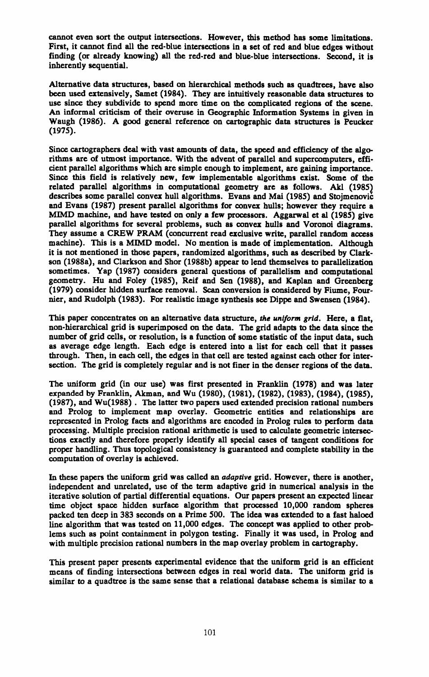cannot even sort the output intersections. However, this method has some limitations. First, it cannot find all the red-blue intersections in a set of red and blue edges without finding (or already knowing) all the red-red and blue-blue intersections. Second, it is inherently sequential.

Alternative data structures, based on hierarchical methods such as quadtrees, have also been used extensively, Samet (1984). They are intuitively reasonable data structures to use since they subdivide to spend more time on the complicated regions of the scene. An informal criticism of their overuse in Geographic Information Systems in given in Waugh (1986). A good general reference on cartographic data structures is Peucker (1975).

Since cartographers deal with vast amounts of data, the speed and efficiency of the algo rithms are of utmost importance. With the advent of parallel and supercomputers, effi cient parallel algorithms which are simple enough to implement, are gaining importance. Since this field is relatively new, few implementable algorithms exist. Some of the related parallel algorithms in computational geometry are as follows. Akl (1985) describes some parallel convex hull algorithms. Evans and Mai (1985) and Stojmenovic and Evans (1987) present parallel algorithms for convex hulls; however they require <sup>a</sup> MIMD machine, and have tested on only a few processors. Aggarwal et al (1985) give parallel algorithms for several problems, such as convex hulls and Voronoi diagrams. They assume a CREW PRAM (concurrent read exclusive write, parallel random access machine). This is a MIMD model. No mention is made of implementation. Although it is not mentioned in those papers, randomized algorithms, such as described by Clarkson (1988a), and Clarkson and Shor (1988b) appear to lend themselves to parallelization sometimes. Yap (1987) considers general questions of parallelism and computational geometry. Hu and Foley (1985), Reif and Sen (1988), and Kaplan and Greenberg (1979) consider hidden surface removal. Scan conversion is considered by Fiume, Fournier, and Rudolph (1983). For realistic image synthesis see Dippe and Swensen (1984).

This paper concentrates on an alternative data structure, *the uniform grid.* Here, a flat, non-hierarchical grid is superimposed on the data. The grid adapts to the data since the number of grid cells, or resolution, is a function of some statistic of the input data, such as average edge length. Each edge is entered into a list for each cell that it passes through. Then, in each cell, the edges in that cell are tested against each other for inter section. The grid is completely regular and is not finer in the denser regions of the data.

The uniform grid (in our use) was first presented in Franklin (1978) and was later expanded by Franklin, Akman, and Wu (1980), (1981), (1982), (1983), (1984), (1985), (1987), and Wu(1988) . The latter two papers used extended precision rational numbers and Prolog to implement map overlay. Geometric entities and relationships are represented in Prolog facts and algorithms are encoded in Prolog rules to perform data processing. Multiple precision rational arithmetic is used to calculate geometric intersec tions exactly and therefore properly identify all special cases of tangent conditions for proper handling. Thus topological consistency is guaranteed and complete stability in the computation of overlay is achieved.

In these papers the uniform grid was called an *adaptive* grid. However, there is another, independent and unrelated, use of the term adaptive grid in numerical analysis in the iterative solution of partial differential equations. Our papers present an expected linear time object space hidden surface algorithm that processed 10,000 random spheres packed ten deep in 383 seconds on a Prime 500. The idea was extended to a fast haloed line algorithm that was tested on 11,000 edges. The concept was applied to other prob lems such as point containment in polygon testing. Finally it was used, in Prolog and with multiple precision rational numbers in the map overlay problem in cartography.

This present paper presents experimental evidence that the uniform grid is an efficient means of finding intersections between edges in real world data. The uniform grid is similar to <sup>a</sup>quadtree is the same sense that a relational database schema is similar to <sup>a</sup>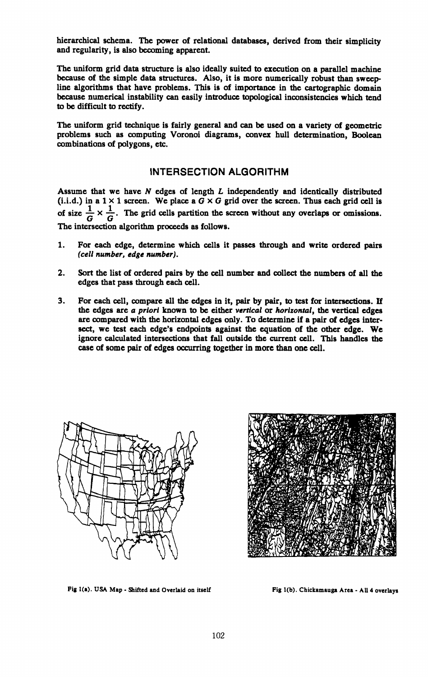hierarchical schema. The power of relational databases, derived from their simplicity and regularity, is also becoming apparent.

The uniform grid data structure is also ideally suited to execution on a parallel machine because of the simple data structures. Also, it is more numerically robust than sweepline algorithms that have problems. This is of importance in the cartographic domain because numerical instability can easily introduce topological inconsistencies which tend to be difficult to rectify.

The uniform grid technique is fairly general and can be used on a variety of geometric problems such as computing Voronoi diagrams, convex hull determination, Boolean combinations of polygons, etc.

## INTERSECTION ALGORITHM

Assume that we have *N* edges of length *L* independently and identically distributed (i.i.d.) in a 1 × 1 screen. We place a *G* × *G* grid over the screen. Thus each grid cell is of size  $\frac{1}{G} \times \frac{1}{G}$ . The grid cells partition the screen without any overlaps or omissions. . The grid cells partition the screen without any overlaps or omissions. The intersection algorithm proceeds as follows.

- 1. For each edge, determine which cells it passes through and write ordered pairs *(cell number, edge number).*
- 2. Sort the list of ordered pairs by the cell number and collect the numbers of all the edges that pass through each cell.
- 3. For each cell, compare all the edges in it, pair by pair, to test for intersections. If the edges are *<sup>a</sup> priori* known to be either *vertical* or *horizontal,* the vertical edges are compared with the horizontal edges only. To determine if a pair of edges intersect, we test each edge's endpoints against the equation of the other edge. We ignore calculated intersections that fall outside the current cell. This handles the case of some pair of edges occurring together in more than one cell.



Fig 1(a). USA Map - Shifted and Overlaid on itself Fig 1(b). Chickamauga Area - All 4 overlays

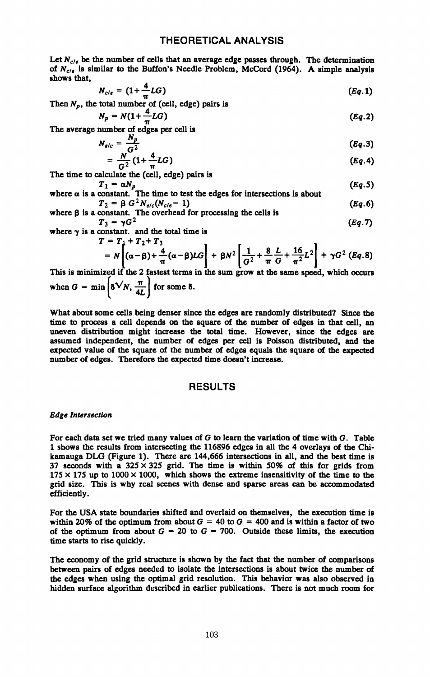Let  $N_{c/\epsilon}$  be the number of cells that an average edge passes through. The determination of  $N_{c/\epsilon}$  is similar to the Buffon's Needle Problem, McCord (1964). A simple analysis shows that,

$$
N_{c/\epsilon} = (1 + \frac{4}{\pi} LG) \tag{Eq.1}
$$

Then  $N_p$ , the total number of (cell, edge) pairs is

$$
N_p = N(1 + \frac{4}{\pi}LG) \tag{Eq.2}
$$

**IT** The average number of edges per cell is

$$
N_{e/c} = \frac{N_p}{G^2} \tag{Eq.3}
$$

$$
= \frac{N}{G^2} \left( 1 + \frac{N}{T} LG \right) \tag{Eq.4}
$$

The time to calculate the (cell, edge) pairs is

 $T_1 = \alpha N_p$  (*Eq.S*) where  $\alpha$  is a constant. The time to test the edges for intersections is about<br>  $T_2 = \beta G^2 N_{e/c}(N_{c/e} - 1)$  (*Eq.6*)

where 
$$
\beta
$$
 is a constant. The overhead for processing the cells is  
\n
$$
T_3 = \gamma G^2
$$
\n(Eq.7)

where  $\gamma$  is a constant, and the total time is<br> $T = T_1 + T_2 + T_3$ 

$$
= N\left[ (\alpha - \beta) + \frac{4}{\pi} (\alpha - \beta) LG \right] + \beta N^2 \left[ \frac{1}{G^2} + \frac{8}{\pi} \frac{L}{G} + \frac{16}{\pi^2} L^2 \right] + \gamma G^2 \left( Eq. 8 \right)
$$

This is minimized if the 2 fastest terms in the sum grow at the same speed, which occurs when  $G = \min\left\{ \delta \sqrt{N}, \frac{\pi}{4L} \right\}$  for some 8.

What about some cells being denser since the edges are randomly distributed? Since the time to process a cell depends on the square of the number of edges in that cell, an uneven distribution might increase the total time. However, since the edges are assumed independent, the number of edges per cell is Poisson distributed, and the expected value of the square of the number of edges equals the square of the expected number of edges. Therefore the expected time doesn't increase.

## RESULTS

#### *Edge Intersection*

For each data set we tried many values of G to learn the variation of time with G. Table 1 shows the results from intersecting the 116896 edges in all the 4 overlays of the Chikamauga DLG (Figure 1). There are 144,666 intersections in all, and the best time is 37 seconds with a  $325 \times 325$  grid. The time is within 50% of this for grids from  $175 \times 175$  up to  $1000 \times 1000$ , which shows the extreme insensitivity of the time to the grid size. This is why real scenes with dense and sparse areas can be accommodated efficiently.

For the USA state boundaries shifted and overlaid on themselves, the execution time is within 20% of the optimum from about  $G = 40$  to  $G = 400$  and is within a factor of two of the optimum from about  $G = 20$  to  $G = 700$ . Outside these limits, the execution time starts to rise quickly.

The economy of the grid structure is shown by the fact that the number of comparisons between pairs of edges needed to isolate the intersections is about twice the number of the edges when using the optimal grid resolution. This behavior was also observed in hidden surface algorithm described in earlier publications. There is not much room for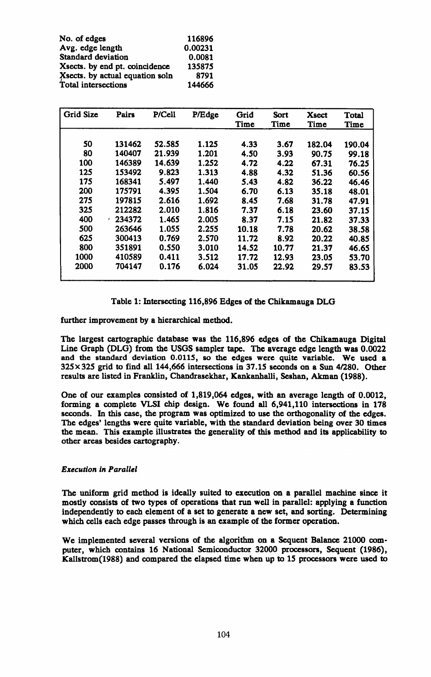| No. of edges                    | 116896  |
|---------------------------------|---------|
| Avg. edge length                | 0.00231 |
| Standard deviation              | 0.0081  |
| X sects, by end pt. coincidence | 135875  |
| Xsects. by actual equation soln | 8791    |
| Total intersections             | 144666  |

| <b>Grid Size</b> | Pairs  | P/Cell | P/Edge | Grid<br>Time | Sort<br>Time | Xsect<br>Time | Total<br>Time |
|------------------|--------|--------|--------|--------------|--------------|---------------|---------------|
|                  |        |        |        |              |              |               |               |
| 50               | 131462 | 52.585 | 1.125  | 4.33         | 3.67         | 182.04        | 190.04        |
| 80               | 140407 | 21.939 | 1.201  | 4.50         | 3.93         | 90.75         | 99.18         |
| 100              | 146389 | 14.639 | 1.252  | 4.72         | 4.22         | 67.31         | 76.25         |
| 125              | 153492 | 9.823  | 1.313  | 4.88         | 4.32         | 51.36         | 60.56         |
| 175              | 168341 | 5.497  | 1.440  | 5.43         | 4.82         | 36.22         | 46.46         |
| 200              | 175791 | 4.395  | 1.504  | 6.70         | 6.13         | 35.18         | 48.01         |
| 275              | 197815 | 2.616  | 1.692  | 8.45         | 7.68         | 31.78         | 47.91         |
| 325              | 212282 | 2.010  | 1.816  | 7.37         | 6.18         | 23.60         | 37.15         |
| 400              | 234372 | 1.465  | 2.005  | 8.37         | 7.15         | 21.82         | 37.33         |
| 500              | 263646 | 1.055  | 2.255  | 10.18        | 7.78         | 20.62         | 38.58         |
| 625              | 300413 | 0.769  | 2.570  | 11.72        | 8.92         | 20.22         | 40.85         |
| 800              | 351891 | 0.550  | 3.010  | 14.52        | 10.77        | 21.37         | 46.65         |
| 1000             | 410589 | 0.411  | 3.512  | 17.72        | 12.93        | 23.05         | 53.70         |
| 2000             | 704147 | 0.176  | 6.024  | 31.05        | 22.92        | 29.57         | 83.53         |

Table 1: Intersecting 116,896 Edges of the Chikamauga DLG

further improvement by a hierarchical method.

The largest cartographic database was the 116,896 edges of the Chikamauga Digital Line Graph (DLG) from the USGS sampler tape. The average edge length was 0.0022 and the standard deviation 0.0115, so the edges were quite variable. We used <sup>a</sup> 325x325 grid to find all 144,666 intersections in 37.15 seconds on a Sun 4/280. Other results are listed in Franklin, Chandrasekhar, Kankanhalli, Seshan, Akman (1988).

One of our examples consisted of 1,819,064 edges, with an average length of 0.0012, forming <sup>a</sup>complete VLSI chip design. We found all 6,941,110 intersections in 178 seconds. In this case, the program was optimized to use the orthogonality of the edges. The edges' lengths were quite variable, with the standard deviation being over 30 times the mean. This example illustrates the generality of this method and its applicability to other areas besides cartography.

#### *Execution in Parallel*

The uniform grid method is ideally suited to execution on <sup>a</sup>parallel machine since it mostly consists of two types of operations that run well in parallel: applying a function independently to each element of a set to generate <sup>a</sup>new set, and sorting. Determining which cells each edge passes through is an example of the former operation.

We implemented several versions of the algorithm on a Sequent Balance 21000 com puter, which contains 16 National Semiconductor 32000 processors, Sequent (1986), KaIIstrom(1988) and compared the elapsed time when up to 15 processors were used to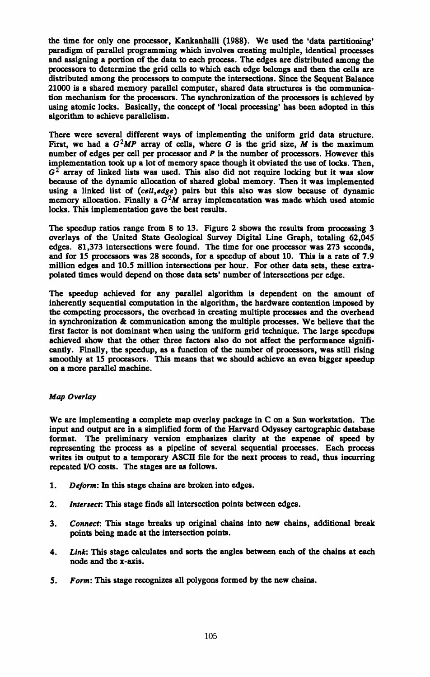the time for only one processor, Kankanhalli (1988). We used the 'data partitioning' paradigm of parallel programming which involves creating multiple, identical processes and assigning a portion of the data to each process. The edges are distributed among the processors to determine the grid cells to which each edge belongs and then the cells are distributed among the processors to compute the intersections. Since the Sequent Balance 21000 is a shared memory parallel computer, shared data structures is the communica tion mechanism for the processors. The synchronization of the processors is achieved by using atomic locks. Basically, the concept of 'local processing' has been adopted in this algorithm to achieve parallelism.

There were several different ways of implementing the uniform grid data structure. First, we had a  $G^2MP$  array of cells, where G is the grid size, M is the maximum number of edges per cell per processor and *P* is the number of processors. However this implementation took up a lot of memory space though it obviated the use of locks. Then,  $G<sup>2</sup>$  array of linked lists was used. This also did not require locking but it was slow because of the dynamic allocation of shared global memory. Then it was implemented using a linked list of *(cell,edge)* pairs but this also was slow because of dynamic memory allocation. Finally a  $G^2M$  array implementation was made which used atomic locks. This implementation gave the best results.

The speedup ratios range from 8 to 13. Figure 2 shows the results from processing 3 overlays of the United State Geological Survey Digital Line Graph, totaling 62,045 edges. 81,373 intersections were found. The time for one processor was 273 seconds, and for IS processors was 28 seconds, for a speedup of about 10. This is a rate of 7.9 million edges and 10.5 million intersections per hour. For other data sets, these extra polated times would depend on those data sets' number of intersections per edge.

The speedup achieved for any parallel algorithm is dependent on the amount of inherently sequential computation in the algorithm, the hardware contention imposed by the competing processors, the overhead in creating multiple processes and the overhead in synchronization & communication among the multiple processes. We believe that the first factor is not dominant when using the uniform grid technique. The large speedups achieved show that the other three factors also do not affect the performance signifi cantly. Finally, the speedup, as a function of the number of processors, was still rising smoothly at 15 processors. This means that we should achieve an even bigger speedup on a more parallel machine.

#### *Map Overlay*

We are implementing a complete map overlay package in C on a Sun workstation. The input and output are in a simplified form of the Harvard Odyssey cartographic database format. The preliminary version emphasizes clarity at the expense of speed by representing the process as a pipeline of several sequential processes. Each process writes its output to a temporary ASCII file for the next process to read, thus incurring repeated I/O costs. The stages are as follows.

- 1. *Deform:* In this stage chains are broken into edges.
- 2. *Intersect:* This stage finds all intersection points between edges.
- 3. *Connect:* This stage breaks up original chains into new chains, additional break points being made at the intersection points.
- 4. *Link:* This stage calculates and sorts the angles between each of the chains at each node and the x-axis.
- 5. *Form:* This stage recognizes all polygons formed by the new chains.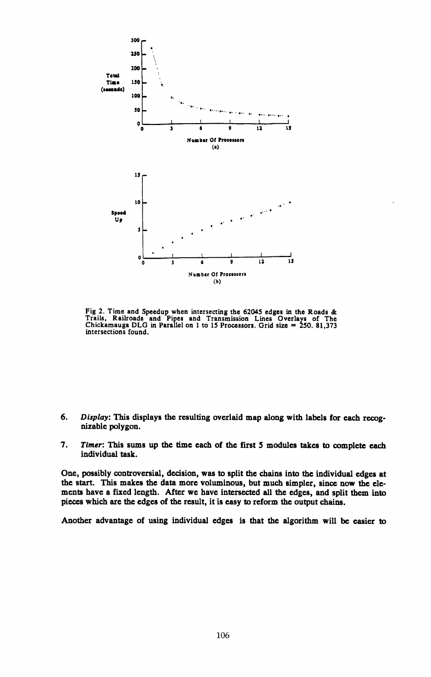

Fig 2. Time and Speedup when intersecting the 62045 edges in the Roads &<br>Trails, Railroads and Pipes and Transmission Lines Overlays of The<br>Chickamauga DLG in Parallel on 1 to 15 Processors. Grid size = 250. 81,373 intersections found.

- 6. *Display:* This displays the resulting overlaid map along with labels for each recog nizable polygon.
- 7. *Timer.* This sums up the time each of the first S modules takes to complete each individual task.

One, possibly controversial, decision, was to split the chains into the individual edges at the start. This makes the data more voluminous, but much simpler, since now the ele ments have a fixed length. After we have intersected all the edges, and split them into <sup>p</sup>ieces which are the edges of the result, it is easy to reform the output chains.

Another advantage of using individual edges is that the algorithm will be easier to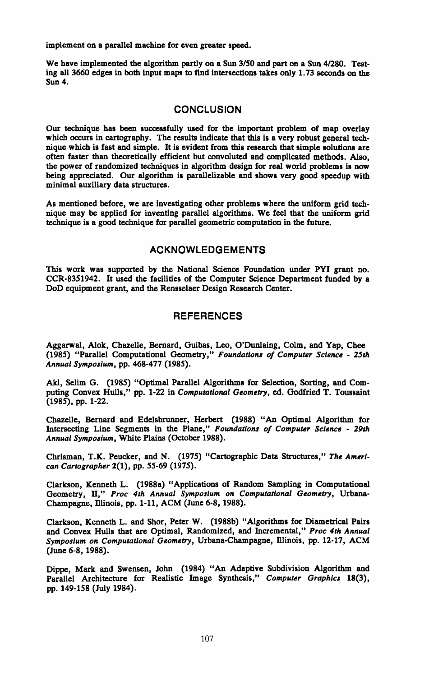implement on a parallel machine for even greater speed.

We have implemented the algorithm partly on a Sun 3/50 and part on a Sun 4/280. Testing all 3660 edges in both input maps to find intersections takes only 1.73 seconds on the Sun 4.

# **CONCLUSION**

Our technique has been successfully used for the important problem of map overlay which occurs in cartography. The results indicate that this is a very robust general technique which is fast and simple. It is evident from this research that simple solutions are often faster than theoretically efficient but convoluted and complicated methods. Also, the power of randomized techniques in algorithm design for real world problems is now being appreciated. Our algorithm is parallelizable and shows very good speedup with minimal auxiliary data structures.

As mentioned before, we are investigating other problems where the uniform grid tech nique may be applied for inventing parallel algorithms. We feel that the uniform grid technique is a good technique for parallel geometric computation in the future.

# ACKNOWLEDGEMENTS

This work was supported by the National Science Foundation under PYI grant no. CCR-8351942. It used the facilities of the Computer Science Department funded by a DoD equipment grant, and the Rensselaer Design Research Center.

# **REFERENCES**

Aggarwal, Alok, Chazelle, Bernard, Guibas, Leo, O'Dunlaing, Colm, and Yap, Chee (1985) "Parallel Computational Geometry," *Foundations of Computer Science - 25th Annual Symposium,* pp. 468-477 (1985).

Akl, Selim G. (1985) "Optimal Parallel Algorithms for Selection, Sorting, and Com puting Convex Hulls," pp. 1-22 in *Computational Geometry,* ed. Godfried T. Toussaint (1985), pp. 1-22.

Chazelle, Bernard and Edelsbrunner, Herbert (1988) "An Optimal Algorithm for Intersecting Line Segments in the Plane," *Foundations of Computer Science - 29th Annual Symposium,* White Plains (October 1988).

Chrisman, T.K. Peucker, and N. (1975) "Cartographic Data Structures," *The Ameri can Cartographer* 2(1), pp. 55-69 (1975).

Clarkson, Kenneth L. (1988a) "Applications of Random Sampling in Computational Geometry, II," Proc 4th Annual Symposium on Computational Geometry, Urbana-Champagne, Illinois, pp. 1-11, ACM (June 6-8, 1988).

Clarkson, Kenneth L. and Shor, Peter W. (1988b) "Algorithms for Diametrical Pairs and Convex Hulls that are Optimal, Randomized, and Incremental," *Proc 4th Annual Symposium on Computational Geometry,* Urbana-Champagne, Elinois, pp. 12-17, ACM (June 6-8, 1988).

Dippe, Mark and Swensen, John (1984) "An Adaptive Subdivision Algorithm and Parallel Architecture for Realistic Image Synthesis," *Computer Graphics* 18(3), pp. 149-158 (July 1984).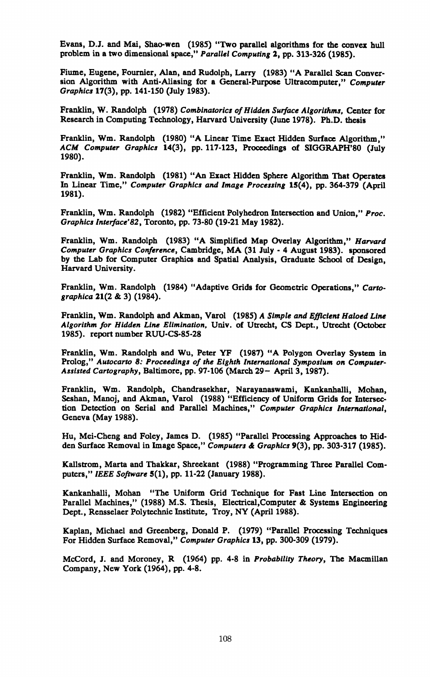Evans, D.J. and Mai, Shao-wcn (198S) "Two parallel algorithms for the convex hull problem in a two dimensional space," *Parallel Computing* 2, pp. 313-326 (198S).

Fiume, Eugene, Fournier, Alan, and Rudolph, Larry (1983) "A Parallel Scan Conver sion Algorithm with Anti-Aliasing for a General-Purpose Ultracomputer," Computer *Graphics* 17(3), pp. 141-150 (July 1983).

Franklin, W. Randolph (1978) *Combinatorics of Hidden Surface Algorithms,* Center for Research in Computing Technology, Harvard University (June 1978). Ph.D. thesis

Franklin, Wm. Randolph (1980) "A Linear Time Exact Hidden Surface Algorithm," *ACM Computer Graphics* 14(3), pp. 117-123, Proceedings of SIGGRAPH'80 (July 1980).

Franklin, Wm. Randolph (1981) "An Exact Hidden Sphere Algorithm That Operates In Linear Time," *Computer Graphics and Image Processing* 15(4), pp. 364-379 (April 1981).

Franklin, Wm. Randolph (1982) "Efficient Polyhedron Intersection and Union," *Proc. Graphics Interface'82,* Toronto, pp. 73-80 (19-21 May 1982).

Franklin, Wm. Randolph (1983) "A Simplified Map Overlay Algorithm," *Harvard Computer Graphics Conference,* Cambridge, MA (31 July - 4 August 1983). sponsored by the Lab for Computer Graphics and Spatial Analysis, Graduate School of Design, Harvard University.

Franklin, Wm. Randolph (1984) "Adaptive Grids for Geometric Operations," *Cartographica* 21(2 & 3) (1984).

Franklin, Wm. Randolph and Akman, Varol (1985) *A Simple and Efficient Haloed Line Algorithm for Hidden Line Elimination,* Univ. of Utrecht, CS Dept., Utrecht (October 1985). report number RUU-CS-85-28

Franklin, Wm. Randolph and Wu, Peter YF (1987) "A Polygon Overlay System in Prolog," *Autocarto 8: Proceedings of the Eighth International Symposium on Computer-Assisted Cartography,* Baltimore, pp. 97-106 (March 29- April 3,1987).

Franklin, Wm. Randolph, Chandrasekhar, Narayanaswami, Kankanhalli, Mohan, Seshan, Manoj, and Akman, Varol (1988) "Efficiency of Uniform Grids for Intersec tion Detection on Serial and Parallel Machines," *Computer Graphics International,*  Geneva (May 1988).

Hu, Mei-Cheng and Foley, James D. (1985) "Parallel Processing Approaches to Hid den Surface Removal in Image Space," *Computers & Graphics* 9(3), pp. 303-317 (1985).

Kallstrom, Marta and Thakkar, Shreekant (1988) "Programming Three Parallel Com puters," *IEEE Software* 5(1), pp. 11-22 (January 1988).

Kankanhalli, Mohan "The Uniform Grid Technique for Fast Line Intersection on Parallel Machines," (1988) M.S. Thesis, Electrical, Computer & Systems Engineering Dept., Rensselaer Polytechnic Institute, Troy, NY (April 1988).

Kaplan, Michael and Greenberg, Donald P. (1979) "Parallel Processing Techniques For Hidden Surface Removal," *Computer Graphics* 13, pp. 300-309 (1979).

McCord, J. and Moroney, R (1964) pp. 4-8 in *Probability Theory,* The Macmillan Company, New York (1964), pp. 4-8.